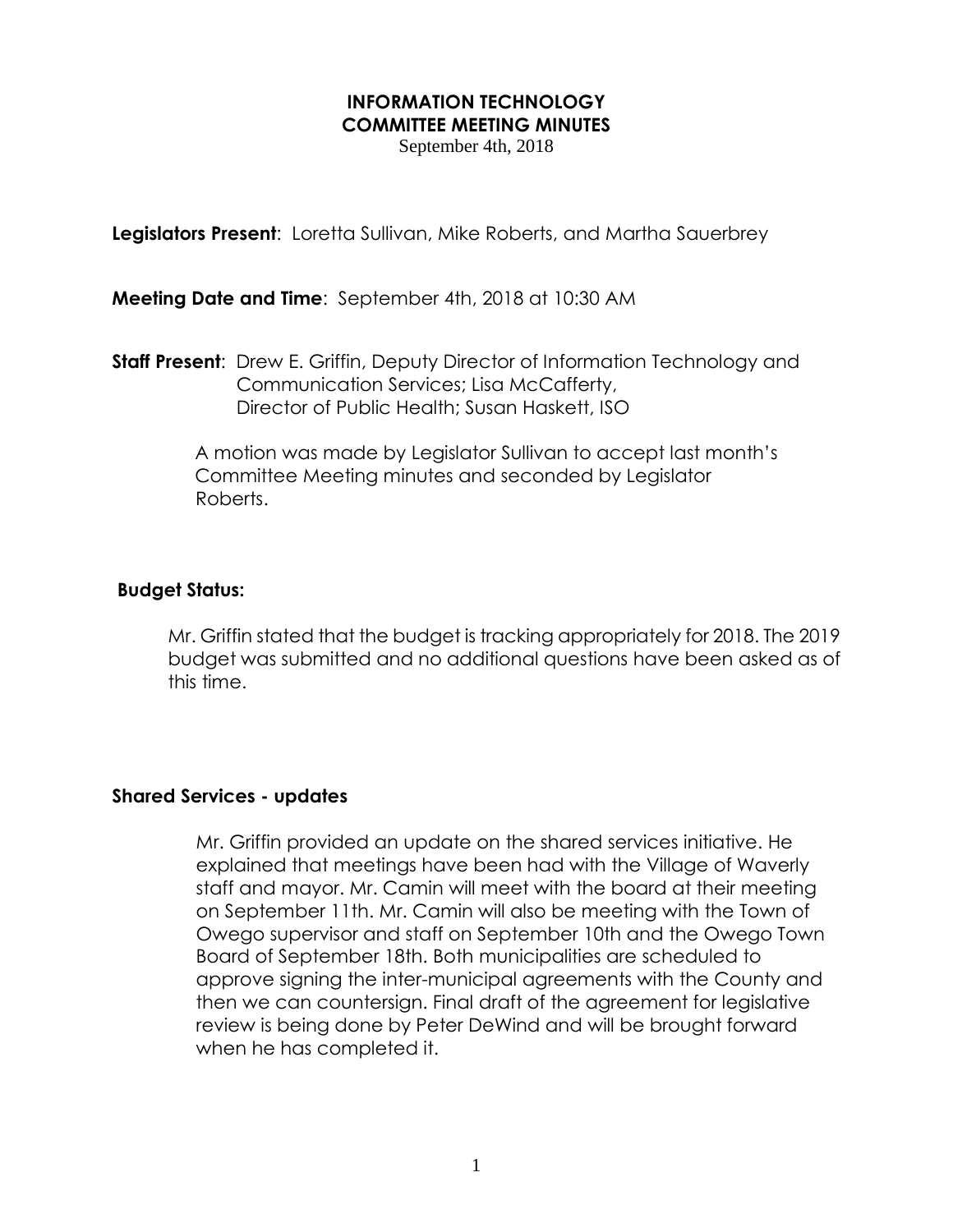## **INFORMATION TECHNOLOGY COMMITTEE MEETING MINUTES**

September 4th, 2018

**Legislators Present:** Loretta Sullivan, Mike Roberts, and Martha Sauerbrey

**Meeting Date and Time**: September 4th, 2018 at 10:30 AM

**Staff Present:** Drew E. Griffin, Deputy Director of Information Technology and Communication Services; Lisa McCafferty, Director of Public Health; Susan Haskett, ISO

> A motion was made by Legislator Sullivan to accept last month's Committee Meeting minutes and seconded by Legislator Roberts.

#### **Budget Status:**

Mr. Griffin stated that the budget is tracking appropriately for 2018. The 2019 budget was submitted and no additional questions have been asked as of this time.

#### **Shared Services - updates**

Mr. Griffin provided an update on the shared services initiative. He explained that meetings have been had with the Village of Waverly staff and mayor. Mr. Camin will meet with the board at their meeting on September 11th. Mr. Camin will also be meeting with the Town of Owego supervisor and staff on September 10th and the Owego Town Board of September 18th. Both municipalities are scheduled to approve signing the inter-municipal agreements with the County and then we can countersign. Final draft of the agreement for legislative review is being done by Peter DeWind and will be brought forward when he has completed it.